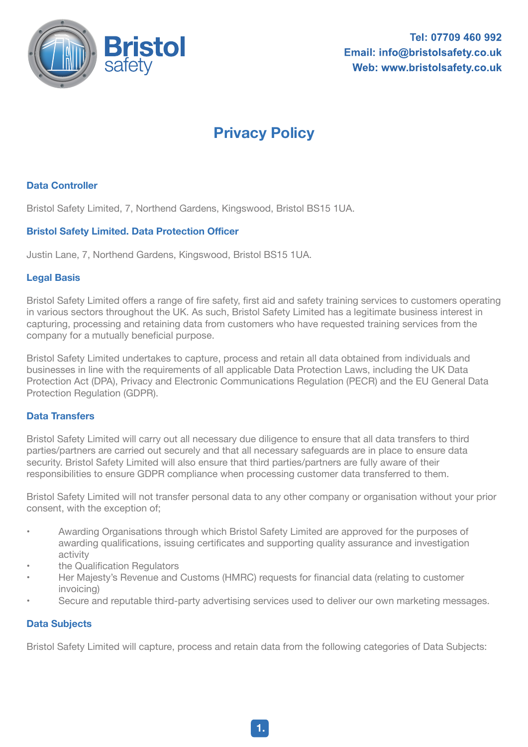

# **Privacy Policy**

## **Data Controller**

Bristol Safety Limited, 7, Northend Gardens, Kingswood, Bristol BS15 1UA.

### **Bristol Safety Limited. Data Protection Officer**

Justin Lane, 7, Northend Gardens, Kingswood, Bristol BS15 1UA.

#### **Legal Basis**

Bristol Safety Limited offers a range of fire safety, first aid and safety training services to customers operating in various sectors throughout the UK. As such, Bristol Safety Limited has a legitimate business interest in capturing, processing and retaining data from customers who have requested training services from the company for a mutually beneficial purpose.

Bristol Safety Limited undertakes to capture, process and retain all data obtained from individuals and businesses in line with the requirements of all applicable Data Protection Laws, including the UK Data Protection Act (DPA), Privacy and Electronic Communications Regulation (PECR) and the EU General Data Protection Regulation (GDPR).

#### **Data Transfers**

Bristol Safety Limited will carry out all necessary due diligence to ensure that all data transfers to third parties/partners are carried out securely and that all necessary safeguards are in place to ensure data security. Bristol Safety Limited will also ensure that third parties/partners are fully aware of their responsibilities to ensure GDPR compliance when processing customer data transferred to them.

Bristol Safety Limited will not transfer personal data to any other company or organisation without your prior consent, with the exception of;

- Awarding Organisations through which Bristol Safety Limited are approved for the purposes of awarding qualifications, issuing certificates and supporting quality assurance and investigation activity
- the Qualification Regulators
- Her Majesty's Revenue and Customs (HMRC) requests for financial data (relating to customer invoicing)
- Secure and reputable third-party advertising services used to deliver our own marketing messages.

### **Data Subjects**

Bristol Safety Limited will capture, process and retain data from the following categories of Data Subjects: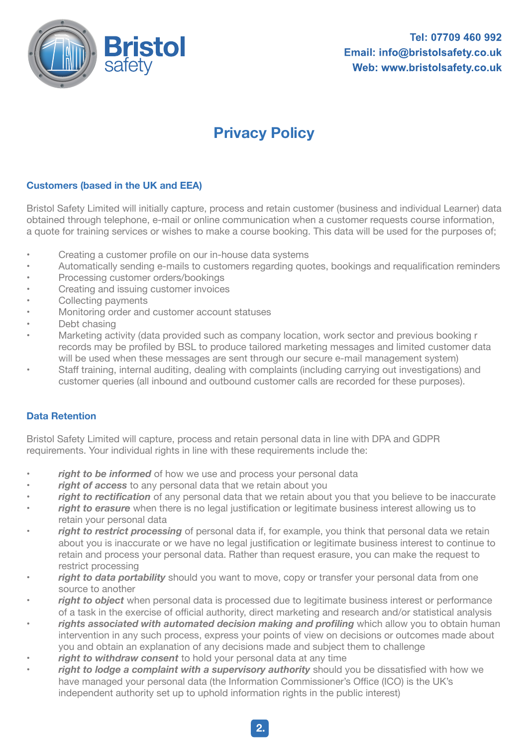

# **Privacy Policy**

### **Customers (based in the UK and EEA)**

Bristol Safety Limited will initially capture, process and retain customer (business and individual Learner) data obtained through telephone, e-mail or online communication when a customer requests course information, a quote for training services or wishes to make a course booking. This data will be used for the purposes of;

- Creating a customer profile on our in-house data systems
- Automatically sending e-mails to customers regarding quotes, bookings and requalification reminders
- Processing customer orders/bookings
- Creating and issuing customer invoices
- Collecting payments
- Monitoring order and customer account statuses
- Debt chasing
- Marketing activity (data provided such as company location, work sector and previous booking r records may be profiled by BSL to produce tailored marketing messages and limited customer data will be used when these messages are sent through our secure e-mail management system)
- Staff training, internal auditing, dealing with complaints (including carrying out investigations) and customer queries (all inbound and outbound customer calls are recorded for these purposes).

### **Data Retention**

Bristol Safety Limited will capture, process and retain personal data in line with DPA and GDPR requirements. Your individual rights in line with these requirements include the:

- **right to be informed** of how we use and process your personal data
- right of access to any personal data that we retain about you
- *right to rectification* of any personal data that we retain about you that you believe to be inaccurate
- *right to erasure* when there is no legal justification or legitimate business interest allowing us to retain your personal data
- right to restrict processing of personal data if, for example, you think that personal data we retain about you is inaccurate or we have no legal justification or legitimate business interest to continue to retain and process your personal data. Rather than request erasure, you can make the request to restrict processing
- right to data portability should you want to move, copy or transfer your personal data from one source to another
- *right to object* when personal data is processed due to legitimate business interest or performance of a task in the exercise of official authority, direct marketing and research and/or statistical analysis
- rights associated with automated decision making and profiling which allow you to obtain human intervention in any such process, express your points of view on decisions or outcomes made about you and obtain an explanation of any decisions made and subject them to challenge
- right to withdraw consent to hold your personal data at any time
- right to lodge a complaint with a supervisory authority should you be dissatisfied with how we have managed your personal data (the Information Commissioner's Office (ICO) is the UK's independent authority set up to uphold information rights in the public interest)